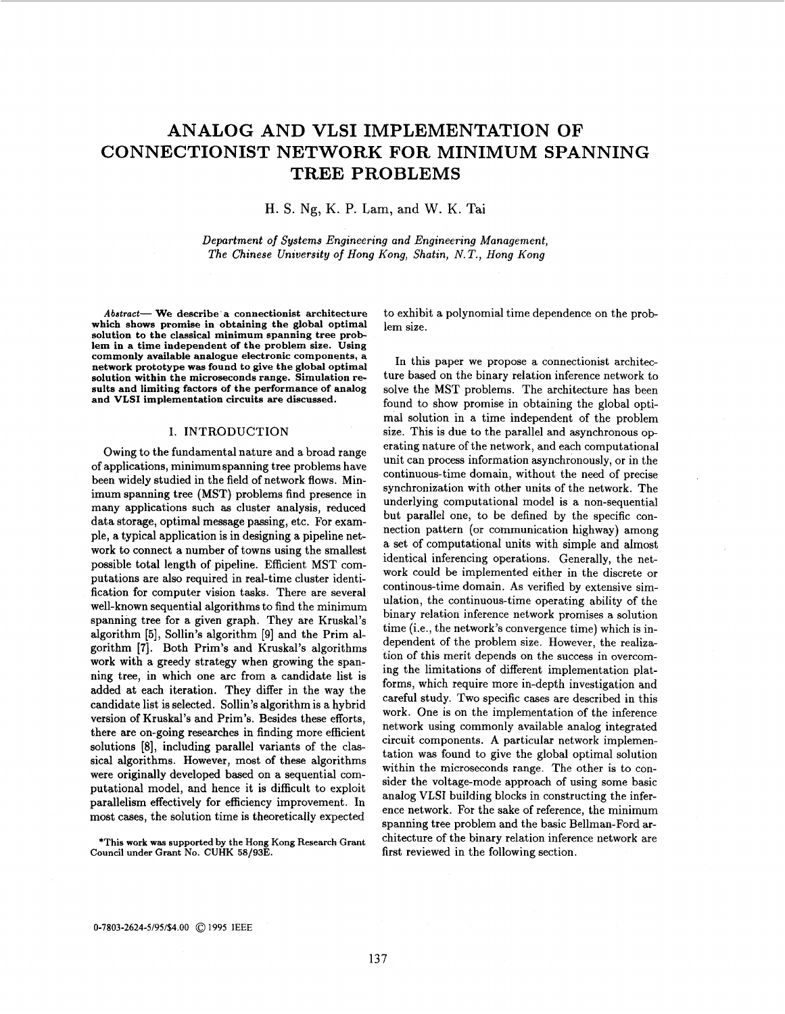# **ANALOG AND VLSI IMPLEMENTATION OF CONNECTIONIST NETWORK FOR MINIMUM SPANNING TREE PROBLEMS**

H. S. **Ng,** K. P. Lam, and W. K. Tai

Department of Systems Engineering and Engineering Management, The Chinese University of Hong Kong, Shatin, N.T., Hong Kong

**Abstract- We describe a connectionist architecture which shows promise in obtaining the global optimal solution to the classical minimum spanning tree problem in a time independent of the problem size. Using commonly available analogue electronic components, a network prototype was found to give the global optimal solution within the microseconds range. Simulation results and limiting factors of the performance of analog and VLSI implementation circuits are discussed.** 

# I. INTRODUCTION

Owing to the fundamental nature and a broad range of applications, minimum spanning tree problems have been widely studied in the field of network flows. Minimum spanning tree (MST) problems find presence in many applications such **as** cluster analysis, reduced data storage, optimal message passing, etc. For example, a typical application is in designing a pipeline network to connect a number of towns using the smallest possible total length of pipeline. Efficient MST computations are also required in real-time cluster identification **for** computer vision tasks. There are several well-known sequential algorithms to find the minimum spanning tree for a given graph. They are Kruskal's algorithm *[5],* Sollin's algorithm [9] and the Prim algorithm **[7].** Both Prim's and Kruskal's algorithms work with a greedy strategy when growing the spanning tree, in which one arc from a candidate list is added at each iteration. They differ in the way the candidate list is selected. Sollin's algorithm is a hybrid version of Kruskal's and Prim's. Besides these efforts, there are on-going researches in finding more efficient solutions *[8],* including parallel variants of the classical algorithms. However, most of these algorithms were originally developed based on a sequential computational model, and hence it is difficult to exploit parallelism effectively for efficiency improvement. In most cases, the solution time is theoretically expected

**\*This work was supported by the Hong Kong Research Grant Council under Grant No. CUHK 58/933.** 

to exhibit a polynomial time dependence on the problem size.

In this paper we propose a connectionist architecture based on the binary relation inference network to solve the MST problems. The architecture has been found to show promise in obtaining the global optimal solution in a time independent of the problem size. This is due to the parallel and asynchronous operating nature of the network, and each computational unit can process information asynchronously, or in the continuous-time domain, without the need of precise synchronization with other units of the network. The underlying computational model is a non-sequential but parallel one, to be defined by the specific connection pattern (or communication highway) among a set of computational units with simple and almost identical inferencing operations. Generally, the network could be implemented either in the discrete or continous-time domain. **As** verified by extensive simulation, the continuous-time operating ability of the binary relation inference network promises a solution time (i.e., the network's convergence time) which is independent of the problem size. However, the realization of this merit depends on the success in overcoming the limitations of different implementation platforms, which require more in-depth investigation and careful study. Two specific cases are described in this work. One is on the implementation of the inference network using commonly available analog integrated circuit components. **A** particular network implementation was found to give the global optimal solution within the microseconds range. The other is to consider the voltage-mode approach of using some basic analog VLSI building blocks in constructing the inference network. For the sake of reference, the minimum spanning tree problem and the basic Bellman-Ford architecture of the binary relation inference network are first reviewed in the following section.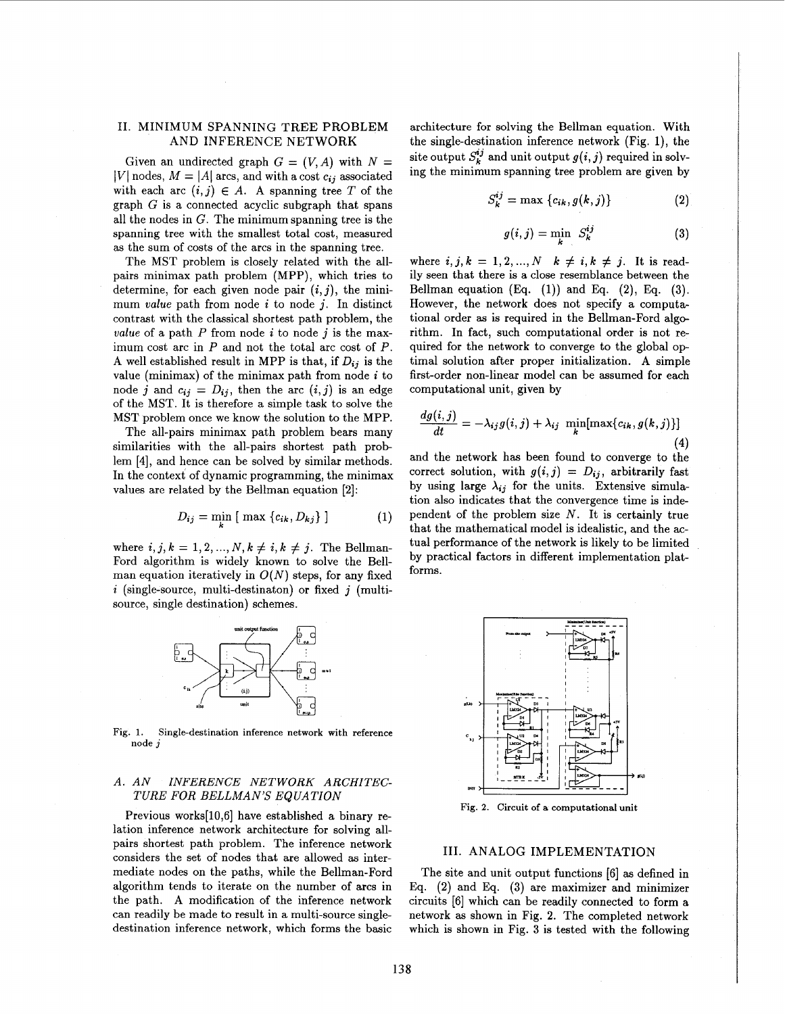#### <span id="page-1-0"></span>11. MINIMUM SPANNING TREE PROBLEM AND INFERENCE NETWORK

Given an undirected graph  $G = (V, A)$  with  $N =$ *VI* nodes,  $M = |A|$  arcs, and with a cost  $c_{ij}$  associated with each arc  $(i, j) \in A$ . A spanning tree *T* of the graph  $G$  is a connected acyclic subgraph that spans all the nodes in  $G$ . The minimum spanning tree is the spanning tree with the smallest total cost, measured **as** the sum of costs of the arcs in the spanning tree.

The MST problem is closely related with the allpairs minimax path problem (MPP), which tries to determine, for each given node pair  $(i, j)$ , the minimum *value* path from node *i* to node j. In distinct contrast with the classical shortest path problem, the *value* of a path  $P$  from node  $i$  to node  $j$  is the maximum cost arc in *P* and not the total arc cost of *P.*  A well established result in MPP is that, if  $D_{ij}$  is the value (minimax) of the minimax path from node *i* to node *j* and  $c_{ij} = D_{ij}$ , then the arc  $(i, j)$  is an edge of the MST. It is therefore a simple task to solve the MST problem once we know the solution to the MPP.

The all-pairs minimax path problem bears many similarities with the all-pairs shortest path problem [4], and hence can be solved by similar methods. In the context of dynamic programming, the minimax values are related by the Bellman equation [2]:

$$
D_{ij} = \min_i \left[ \max_i \{c_{ik}, D_{kj}\} \right] \tag{1}
$$

where  $i, j, k = 1, 2, ..., N, k \neq i, k \neq j$ . The Bellman-Ford algorithm is widely known to solve the Bellman equation iteratively in  $O(N)$  steps, for any fixed *i* (single-source, multi-destinaton) or fixed *j* (multisource, single destination) schemes.



**Fig. 1. Single-destination inference network with reference node j** 

### *A. AN INFERENCE NETWORK ARCHITEC-TURE FOR BELLMAN'S EQUATION*

Previous works[l0,6] have established a binary relation inference network architecture for solving allpairs shortest path problem. The inference network considers the set of nodes that are allowed **as** intermediate nodes on the paths, while the Bellman-Ford algorithm tends to iterate on the number of arcs in the path. **A** modification of the inference network can readily be made to result in a multi-source singledestination inference network, which forms the basic

architecture for solving the Bellman equation. With the single-destination inference network (Fig. 1), the site output  $S_k^{ij}$  and unit output  $g(i, j)$  required in solving the minimum spanning tree problem are given by

$$
S_k^{ij} = \max \left\{ c_{ik}, g(k,j) \right\} \tag{2}
$$

$$
g(i,j) = \min_{k} S_k^{ij}
$$
 (3)

where  $i, j, k = 1, 2, ..., N$   $k \neq i, k \neq j$ . It is readily seen that there is a close resemblance between the Bellman equation **(Eq.** (1)) and Eq. **(2), Eq. (3).**  However, the network does not specify a computational order **as** is required in the Bellman-Ford algorithm. In fact, such computational order is not required for the network to converge to the global optimal solution after proper initialization. **A** simple first-order non-linear model can be assumed for each computational unit, given by

$$
\frac{dg(i,j)}{dt} = -\lambda_{ij}g(i,j) + \lambda_{ij} \min_{k} [\max\{c_{ik}, g(k,j)\}]
$$
\n(4)

and the network has been found to converge to the **(4)**  correct solution, with  $g(i, j) = D_{ij}$ , arbitrarily fast by using large  $\lambda_{ij}$  for the units. Extensive simulation also indicates that the convergence time is independent of the problem size *N.* It is certainly true that the mathematical model is idealistic, and the actual performance of the network is likely to be limited by practical factors in different implementation platforms.



**Fig. 2. Circuit of a computational unit** 

#### 111. ANALOG IMPLEMENTATION

The site and unit output functions [6] **as** defined in Eq. **(2)** and Eq. **(3)** are maximizer and minimizer circuits [6] which can be readily connected to form a network **as** shown in Fig. 2. The completed network which is shown in [Fig.](#page-2-0) **3** is tested with the following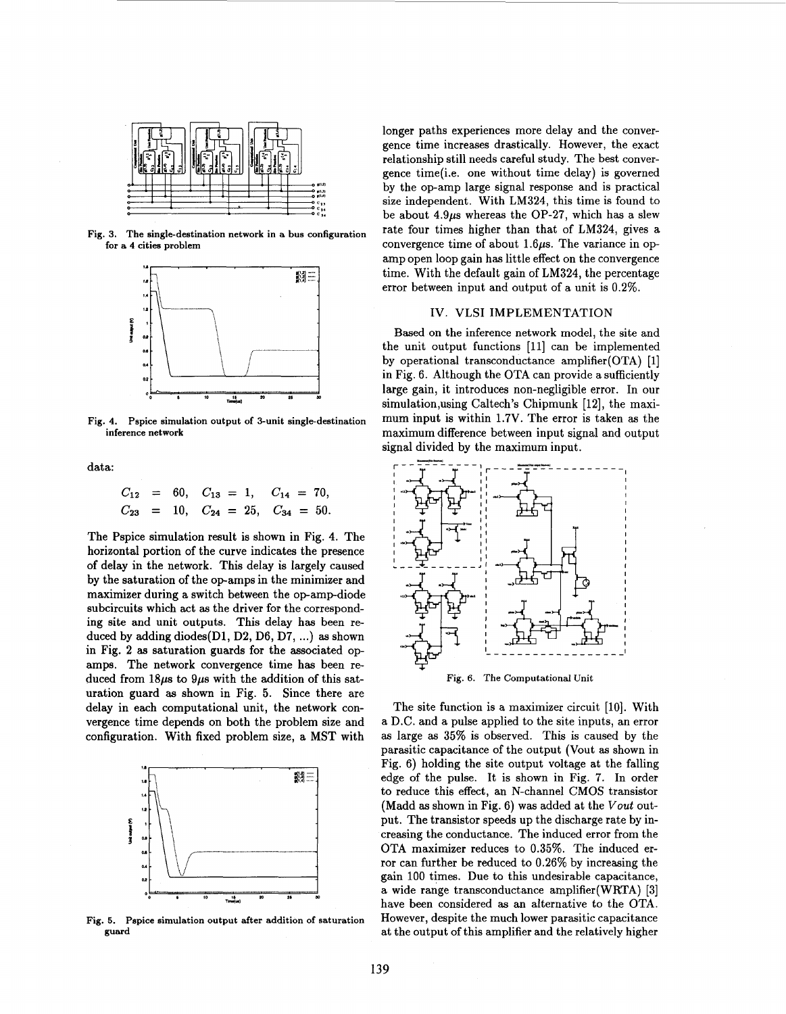<span id="page-2-0"></span>

**Fig. 3. The single-destination network in a bus configuration for a 4 cities problem** 



Fig. 4. Pspice simulation output of 3-unit single-destination **inference network** 

data:

$$
C_{12} = 60
$$
,  $C_{13} = 1$ ,  $C_{14} = 70$ ,  
\n $C_{23} = 10$ ,  $C_{24} = 25$ ,  $C_{34} = 50$ .

The Pspice simulation result is shown in Fig. **4.** The horizontal portion of the curve indicates the presence of delay in the network. This delay is largely caused by the saturation of the op-amps in the minimizer and maximizer during a switch between the op-amp-diode subcircuits which act **as** the driver for the corresponding site and unit outputs. This delay has been reduced by adding diodes(D1, **D2,** D6, D7, ...) **as** shown in [Fig.](#page-1-0) **2 as** saturation guards for the associated opamps. The network convergence time has been reduced from  $18\mu s$  to  $9\mu s$  with the addition of this saturation guard **as** shown in Fig. *5.* Since there are delay in each computational unit, the network convergence time depends on both the problem size and configuration. With fixed problem size, a MST with



**Fig. 5. Pspice simulation output after addition of saturation guard** 

longer paths experiences more delay and the convergence time increases drastically. However, the exact relationship still needs careful study. The best convergence time(i.e. one without time delay) is governed by the op-amp large signal response and is practical size independent. With **LM324,** this time is found to be about *4.9ps* whereas the **OP-27,** which has a slew rate four times higher than that of **LM324,** gives a convergence time of about 1.6 $\mu$ s. The variance in opamp open loop gain has little effect on the convergence time. With the default gain of **LM324,** the percentage error between input and output of a unit is **0.2%.** 

## IV. VLSI IMPLEMENTATION

Based on the inference network model, the site and the unit output functions **[ll]** can be implemented by operational transconductance amplifier(0TA) **[l]**  in Fig. **6.** Although the OTA can provide a sufficiently large gain, it introduces non-negligible error. In our simulation,using Caltech's Chipmunk **[12],** the maximum input is within **1.7V.** The error is taken **as** the maximum difference between input signal and output signal divided by the maximum input.<br> $\frac{1}{2} = \frac{1}{2} = \frac{1}{2} = \frac{1}{2} = \frac{1}{2} = \frac{1}{2} = \frac{1}{2} = \frac{1}{2} = \frac{1}{2} = \frac{1}{2} = \frac{1}{2} = \frac{1}{2} = \frac{1}{2} = \frac{1}{2} = \frac{1}{2} = \frac{1}{2} = \frac{1}{2} = \frac{1}{2} = \frac{1}{2} = \frac{1}{2} = \frac{1}{2} = \frac{1}{2} = \frac{1}{2}$ 



Fig. 6. The Computational Unit

The site function is a maximizer circuit [10]. With a D.C. and a pulse applied to the site inputs, an error **as** large **as 35%** is observed. This is caused by the parasitic capacitance of the output (Vout **as** shown in Fig. **6)** holding the site output voltage at the falling edge of the pulse. It is shown in [Fig.](#page-3-0) **7.** In order to reduce this effect, an N-channel **CMOS** transistor (Madd **as** shown in Fig. **6)** was added at the *Vout* output. The transistor speeds up the discharge rate by increasing the conductance. The induced error from the OTA maximizer reduces to **0.35%.** The induced error can further be reduced to **0.26%** by increasing the gain 100 times. Due to this undesirable capacitance, a wide range transconductance amplifier(WRTA) **[3]**  have been considered **as** an alternative to the OTA. However, despite the much lower parasitic capacitance at the output of this amplifier and the relatively higher